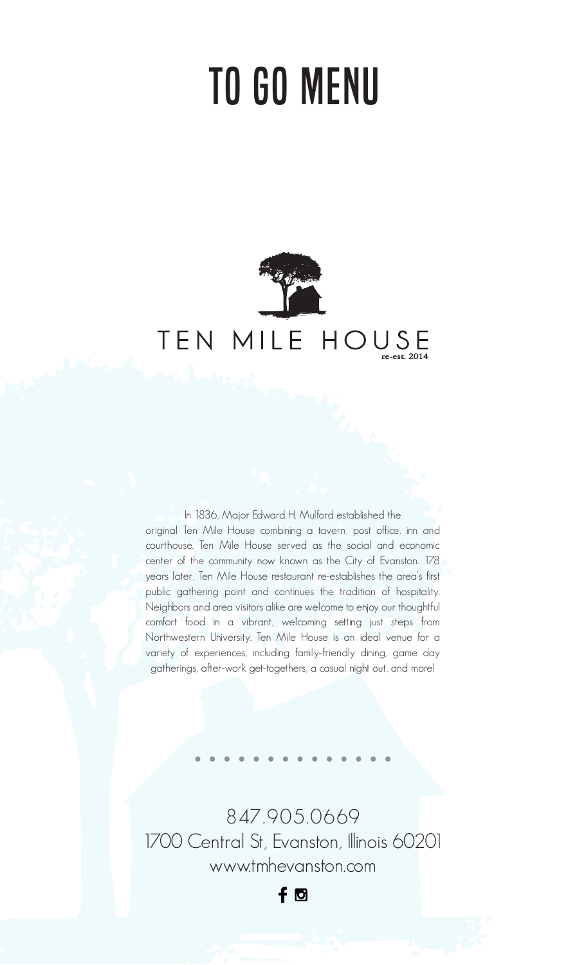# TO GO MENU



In 1836, Major Edward H. Mulford established the original Ten Mile House combining a tavern, post office, inn and courthouse. Ten Mile House served as the social and economic center of the community now known as the City of Evanston. 178 years later, Ten Mile House restaurant re-establishes the area's first public gathering point and continues the tradition of hospitality. Neighbors and area visitors alike are welcome to enjoy our thoughtful comfort food in a vibrant, welcoming setting just steps from Northwestern University. Ten Mile House is an ideal venue for a variety of experiences, including family-friendly dining, game day gatherings, after-work get-togethers, a casual night out, and more!

847.905.0669 1700 Central St, Evanston, Illinois 60201 www.tmhevanston.com

 $f$   $\Theta$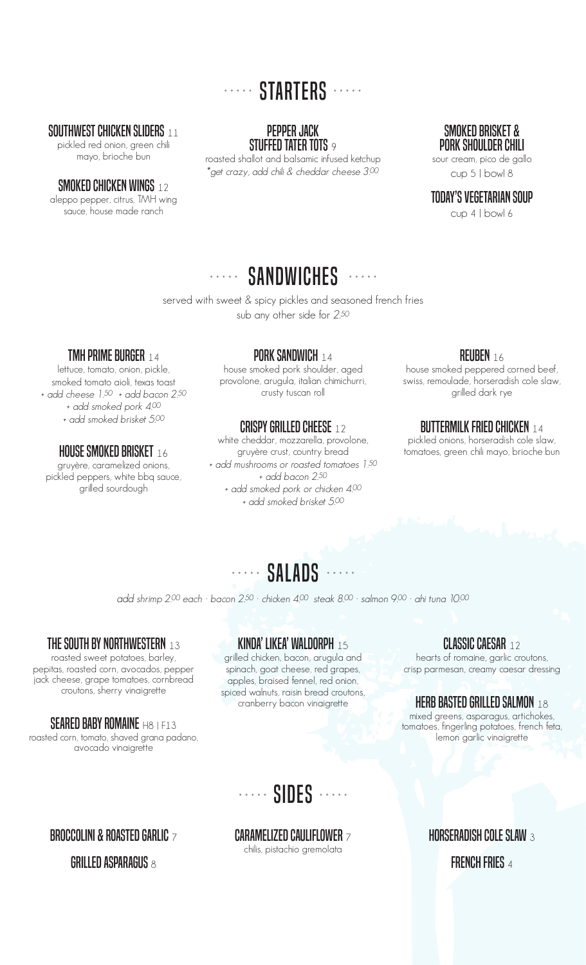# ..... STARTERS .....

### SOUTHWEST CHICKEN SLIDERS 11

pickled red onion, green chili mayo, brioche bun

### SMOKED CHICKEN WINGS 12

aleppo pepper, citrus, TMH wing sauce, house made ranch

PEPPER JACK STUFFED TATER TOTS 9

roasted shallot and balsamic infused ketchup  $^*$ get crazy, add chili & cheddar cheese 3.00  $^*$ 

### SMOKED BRISKET & PORK SHOULDER CHILI sour cream, pico de gallo

cup 5 | bowl 8

### TODAY'S VEGETARIAN SOUP

cup 4 | bowl 6

### SANDWICHES .....  $\frac{1}{2} \left( \frac{1}{2} \left( \frac{1}{2} \left( \frac{1}{2} \left( \frac{1}{2} \right) \right) + \frac{1}{2} \left( \frac{1}{2} \left( \frac{1}{2} \right) \right) \right) \right)$

served with sweet & spicy pickles and seasoned french fries sub any other side for 2.50

### TMH PRIME BURGER 14

lettuce, tomato, onion, pickle, smoked tomato aioli, texas toast + add cheese 1.50 + add bacon 2.50 + add smoked pork 4.00 + add smoked brisket 5.00

### **HOUSE SMOKED BRISKET** 16

gruyère, caramelized onions, pickled peppers, white bbq sauce, grilled sourdough

### **PORK SANDWICH 14**

house smoked pork shoulder, aged provolone, arugula, italian chimichurri, crusty tuscan roll

### CRISPY GRILLED CHEESE 12

white cheddar, mozzarella, provolone, gruyère crust, country bread + add mushrooms or roasted tomatoes 1.50 + add bacon 2.50 + add smoked pork or chicken 4.00 + add smoked brisket 5.00

### REUBEN 16

house smoked peppered corned beef, swiss, remoulade, horseradish cole slaw, grilled dark rye

### **BUTTERMILK FRIED CHICKEN 14**

pickled onions, horseradish cole slaw, tomatoes, green chili mayo, brioche bun

add shrimp 2.00 each · bacon 2.50 · chicken 4.00 steak 8.00 · salmon 9.00 · ahi tuna 10.00

### THE SOUTH BY NORTHWESTERN 13

roasted sweet potatoes, barley, pepitas, roasted corn, avocados, pepper jack cheese, grape tomatoes, cornbread croutons, sherry vinaigrette

### SEARED BABY ROMAINE H8 LE13

roasted corn, tomato, shaved grana padano, avocado vinaigrette

### KINDA' LIKEA' WALDORPH <sup>15</sup>

grilled chicken, bacon, arugula and spinach, goat cheese, red grapes, apples, braised fennel, red onion, spiced walnuts, raisin bread croutons, cranberry bacon vinaigrette

### CLASSIC CAESAR <sup>12</sup>

hearts of romaine, garlic croutons, crisp parmesan, creamy caesar dressing

### **HERB BASTED GRILLED SALMON 18**

mixed greens, asparagus, artichokes, tomatoes, fingerling potatoes, french feta, lemon garlic vinaigrette

# ..... SIDES ......

### CARAMELIZED CAULIFLOWER <sup>7</sup>

chilis, pistachio gremolata

### HORSERADISH COLE SLAW <sup>3</sup>

FRENCH FRIES 4

## BROCCOLINI & ROASTED GARLIC 7

GRILLED ASPARAGUS  $8$ 

..... SALADS .....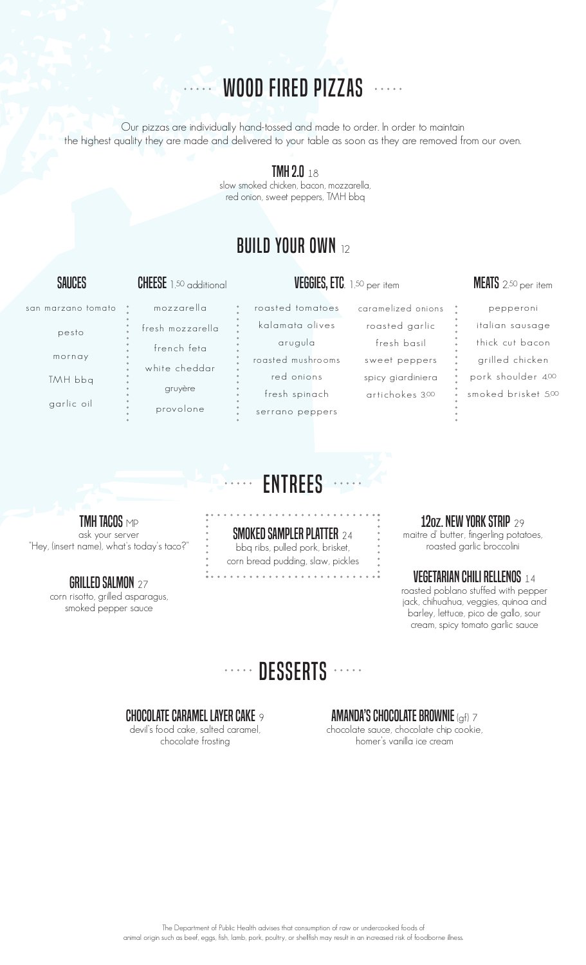# **WOOD FIRED PIZZAS**

Our pizzas are individually hand-tossed and made to order. In order to maintain the highest quality they are made and delivered to your table as soon as they are removed from our oven.

### **TMH 2.0**  $18$

slow smoked chicken, bacon, mozzarella, red onion, sweet peppers, TMH bbq

# **BUILD YOUR OWN 12**

### san marzano tomato

pesto

mornay

TMH bbq

garlic oil

mozzarella fresh mozzarella french feta white cheddar gruyère

provolone

roasted tomatoes kalamata olives arugula roasted mushrooms red onions fresh spinach

serrano peppers

caramelized onions roasted garlic fresh basil sweet peppers spicy giardiniera artichokes 3.00

### SAUCES CHEESE 1.50 additional VEGGIES, ETC. 1.50 per item MEATS 2.50 per item

pepperoni italian sausage thick cut bacon grilled chicken pork shoulder 4.00 smoked brisket 5.00



**TMH TACOS MP** ask your server "Hey, (insert name), what's today's taco?

> **GRILLED SALMON** 27 corn risotto, grilled asparagus, smoked pepper sauce

SMOKED SAMPLER PLATTER <sup>24</sup> bbq ribs, pulled pork, brisket, corn bread pudding, slaw, pickles

### 12oz. NEW YORK STRIP 29

maitre d' butter, fingerling potatoes, roasted garlic broccolini

### VEGETARIAN CHILI RELLENOS <sup>14</sup>

roasted poblano stuffed with pepper jack, chihuahua, veggies, quinoa and barley, lettuce, pico de gallo, sour cream, spicy tomato garlic sauce

# ······ DESSERTS ······

### CHOCOLATE CARAMEL LAYER CAKE  $\circ$

devil's food cake, salted caramel, chocolate frosting

**AMANDA'S CHOCOLATE BROWNIE** (qf)  $\overline{7}$ chocolate sauce, chocolate chip cookie, homer's vanilla ice cream